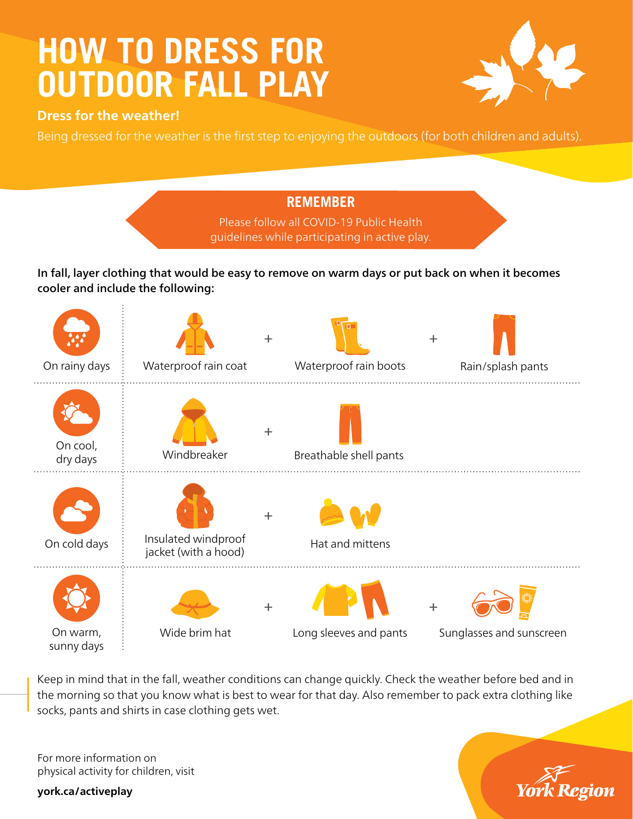## **HOW TO DRESS FOR OUTDOOR FALL PLAY**



Being dressed for the weather is the first step to enjoying the outdoors (for both children and adults).



Wide brim hat Long sleeves and pants Sunglasses and sunscreen

Keep in mind that in the fall, weather conditions can change quickly. Check the weather before bed and in the morning so that you know what is best to wear for that day. Also remember to pack extra clothing like socks, pants and shirts in case clothing gets wet.

For more information on physical activity for children, visit

**york.ca/activeplay**

On warm, sunny days